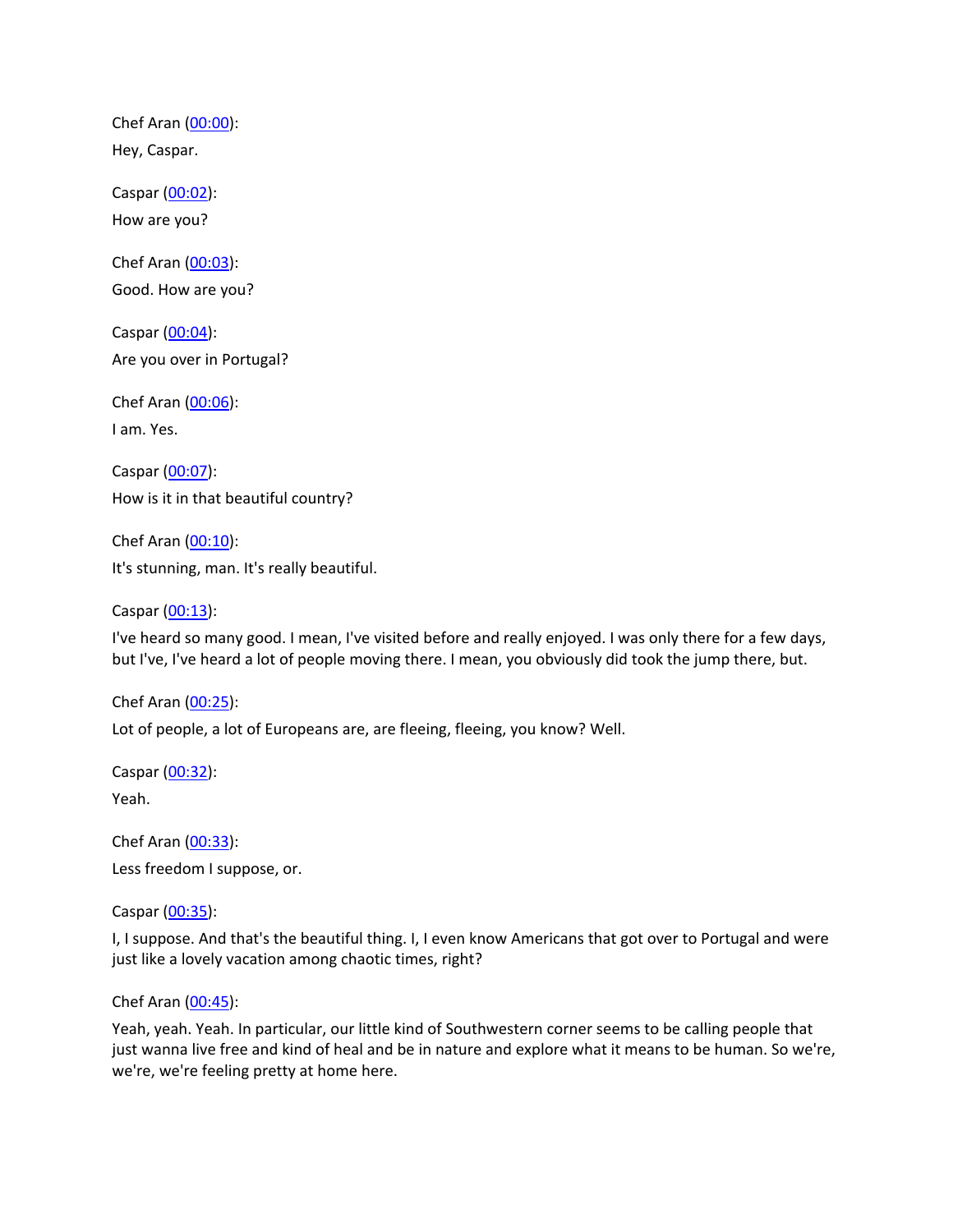Chef Aran [\(00:00](https://www.temi.com/editor/t/C2OHmcaxYhkInUSNKS0Mu2rCE2dq0NKBGSdgnOPifiFQQ2yTnlRox7z0aJKFF5bGFu2LjOu5KCoBVTWWvUz4A9UOhec?loadFrom=DocumentDeeplink&ts=0.8)): Hey, Caspar.

Caspar [\(00:02](https://www.temi.com/editor/t/C2OHmcaxYhkInUSNKS0Mu2rCE2dq0NKBGSdgnOPifiFQQ2yTnlRox7z0aJKFF5bGFu2LjOu5KCoBVTWWvUz4A9UOhec?loadFrom=DocumentDeeplink&ts=2.16)): How are you?

Chef Aran [\(00:03](https://www.temi.com/editor/t/C2OHmcaxYhkInUSNKS0Mu2rCE2dq0NKBGSdgnOPifiFQQ2yTnlRox7z0aJKFF5bGFu2LjOu5KCoBVTWWvUz4A9UOhec?loadFrom=DocumentDeeplink&ts=3.21)): Good. How are you?

Caspar [\(00:04](https://www.temi.com/editor/t/C2OHmcaxYhkInUSNKS0Mu2rCE2dq0NKBGSdgnOPifiFQQ2yTnlRox7z0aJKFF5bGFu2LjOu5KCoBVTWWvUz4A9UOhec?loadFrom=DocumentDeeplink&ts=4.519)): Are you over in Portugal?

Chef Aran [\(00:06](https://www.temi.com/editor/t/C2OHmcaxYhkInUSNKS0Mu2rCE2dq0NKBGSdgnOPifiFQQ2yTnlRox7z0aJKFF5bGFu2LjOu5KCoBVTWWvUz4A9UOhec?loadFrom=DocumentDeeplink&ts=6.42)): I am. Yes.

Caspar [\(00:07](https://www.temi.com/editor/t/C2OHmcaxYhkInUSNKS0Mu2rCE2dq0NKBGSdgnOPifiFQQ2yTnlRox7z0aJKFF5bGFu2LjOu5KCoBVTWWvUz4A9UOhec?loadFrom=DocumentDeeplink&ts=7.68)): How is it in that beautiful country?

Chef Aran [\(00:10](https://www.temi.com/editor/t/C2OHmcaxYhkInUSNKS0Mu2rCE2dq0NKBGSdgnOPifiFQQ2yTnlRox7z0aJKFF5bGFu2LjOu5KCoBVTWWvUz4A9UOhec?loadFrom=DocumentDeeplink&ts=10.52)): It's stunning, man. It's really beautiful.

Caspar [\(00:13](https://www.temi.com/editor/t/C2OHmcaxYhkInUSNKS0Mu2rCE2dq0NKBGSdgnOPifiFQQ2yTnlRox7z0aJKFF5bGFu2LjOu5KCoBVTWWvUz4A9UOhec?loadFrom=DocumentDeeplink&ts=13.84)):

I've heard so many good. I mean, I've visited before and really enjoyed. I was only there for a few days, but I've, I've heard a lot of people moving there. I mean, you obviously did took the jump there, but.

Chef Aran [\(00:25](https://www.temi.com/editor/t/C2OHmcaxYhkInUSNKS0Mu2rCE2dq0NKBGSdgnOPifiFQQ2yTnlRox7z0aJKFF5bGFu2LjOu5KCoBVTWWvUz4A9UOhec?loadFrom=DocumentDeeplink&ts=25.7)): Lot of people, a lot of Europeans are, are fleeing, fleeing, you know? Well.

Caspar [\(00:32](https://www.temi.com/editor/t/C2OHmcaxYhkInUSNKS0Mu2rCE2dq0NKBGSdgnOPifiFQQ2yTnlRox7z0aJKFF5bGFu2LjOu5KCoBVTWWvUz4A9UOhec?loadFrom=DocumentDeeplink&ts=32.67)): Yeah.

Chef Aran [\(00:33](https://www.temi.com/editor/t/C2OHmcaxYhkInUSNKS0Mu2rCE2dq0NKBGSdgnOPifiFQQ2yTnlRox7z0aJKFF5bGFu2LjOu5KCoBVTWWvUz4A9UOhec?loadFrom=DocumentDeeplink&ts=33.44)): Less freedom I suppose, or.

Caspar [\(00:35](https://www.temi.com/editor/t/C2OHmcaxYhkInUSNKS0Mu2rCE2dq0NKBGSdgnOPifiFQQ2yTnlRox7z0aJKFF5bGFu2LjOu5KCoBVTWWvUz4A9UOhec?loadFrom=DocumentDeeplink&ts=35.64)):

I, I suppose. And that's the beautiful thing. I, I even know Americans that got over to Portugal and were just like a lovely vacation among chaotic times, right?

Chef Aran [\(00:45](https://www.temi.com/editor/t/C2OHmcaxYhkInUSNKS0Mu2rCE2dq0NKBGSdgnOPifiFQQ2yTnlRox7z0aJKFF5bGFu2LjOu5KCoBVTWWvUz4A9UOhec?loadFrom=DocumentDeeplink&ts=45.1)):

Yeah, yeah. Yeah. In particular, our little kind of Southwestern corner seems to be calling people that just wanna live free and kind of heal and be in nature and explore what it means to be human. So we're, we're, we're feeling pretty at home here.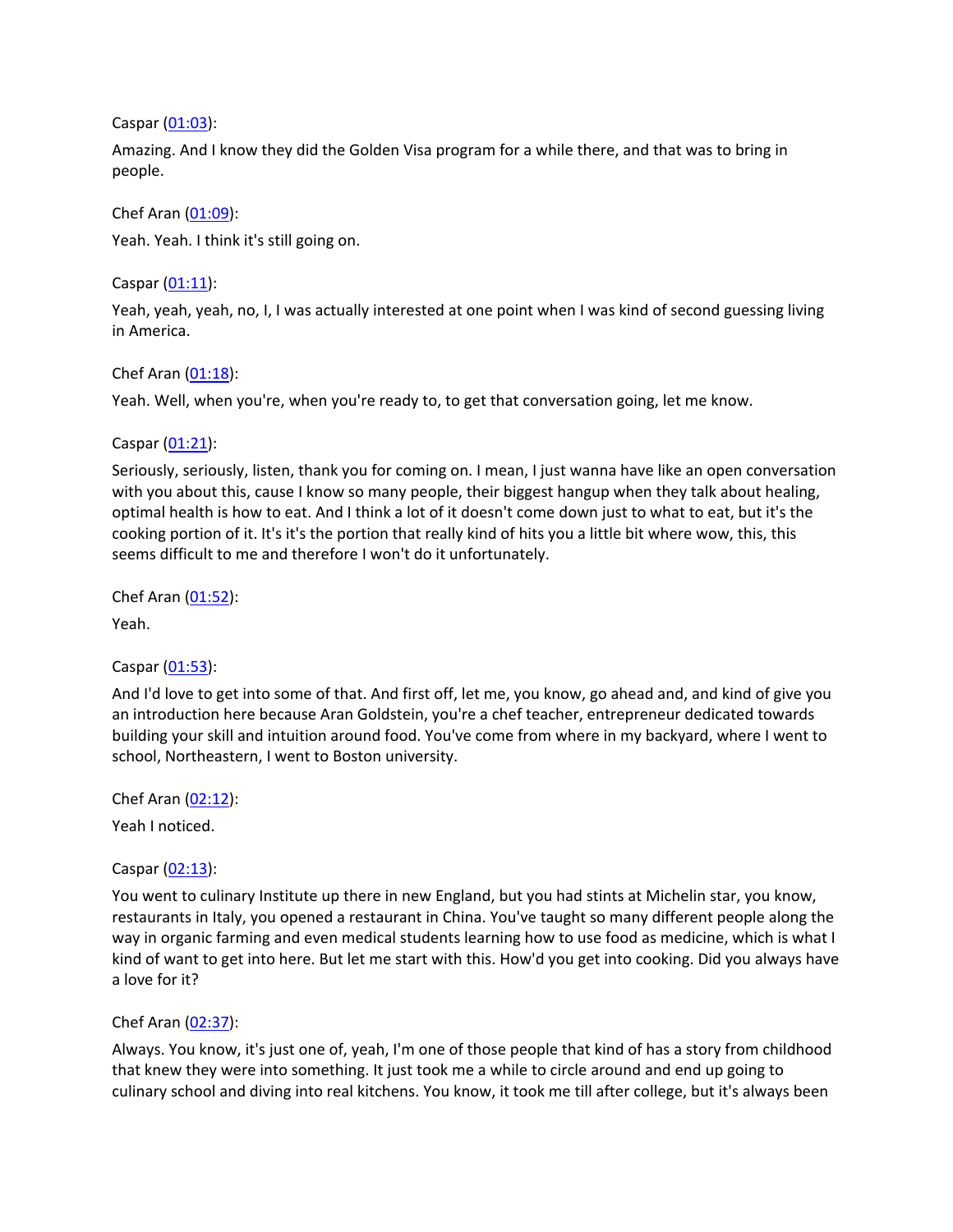Caspar [\(01:03](https://www.temi.com/editor/t/C2OHmcaxYhkInUSNKS0Mu2rCE2dq0NKBGSdgnOPifiFQQ2yTnlRox7z0aJKFF5bGFu2LjOu5KCoBVTWWvUz4A9UOhec?loadFrom=DocumentDeeplink&ts=63.33)):

Amazing. And I know they did the Golden Visa program for a while there, and that was to bring in people.

Chef Aran [\(01:09](https://www.temi.com/editor/t/C2OHmcaxYhkInUSNKS0Mu2rCE2dq0NKBGSdgnOPifiFQQ2yTnlRox7z0aJKFF5bGFu2LjOu5KCoBVTWWvUz4A9UOhec?loadFrom=DocumentDeeplink&ts=69.37)): Yeah. Yeah. I think it's still going on.

Caspar [\(01:11](https://www.temi.com/editor/t/C2OHmcaxYhkInUSNKS0Mu2rCE2dq0NKBGSdgnOPifiFQQ2yTnlRox7z0aJKFF5bGFu2LjOu5KCoBVTWWvUz4A9UOhec?loadFrom=DocumentDeeplink&ts=71.5)):

Yeah, yeah, yeah, no, I, I was actually interested at one point when I was kind of second guessing living in America.

Chef Aran [\(01:18](https://www.temi.com/editor/t/C2OHmcaxYhkInUSNKS0Mu2rCE2dq0NKBGSdgnOPifiFQQ2yTnlRox7z0aJKFF5bGFu2LjOu5KCoBVTWWvUz4A9UOhec?loadFrom=DocumentDeeplink&ts=78.38)):

Yeah. Well, when you're, when you're ready to, to get that conversation going, let me know.

Caspar [\(01:21](https://www.temi.com/editor/t/C2OHmcaxYhkInUSNKS0Mu2rCE2dq0NKBGSdgnOPifiFQQ2yTnlRox7z0aJKFF5bGFu2LjOu5KCoBVTWWvUz4A9UOhec?loadFrom=DocumentDeeplink&ts=81.569)):

Seriously, seriously, listen, thank you for coming on. I mean, I just wanna have like an open conversation with you about this, cause I know so many people, their biggest hangup when they talk about healing, optimal health is how to eat. And I think a lot of it doesn't come down just to what to eat, but it's the cooking portion of it. It's it's the portion that really kind of hits you a little bit where wow, this, this seems difficult to me and therefore I won't do it unfortunately.

Chef Aran [\(01:52](https://www.temi.com/editor/t/C2OHmcaxYhkInUSNKS0Mu2rCE2dq0NKBGSdgnOPifiFQQ2yTnlRox7z0aJKFF5bGFu2LjOu5KCoBVTWWvUz4A9UOhec?loadFrom=DocumentDeeplink&ts=112.71)):

Yeah.

## Caspar [\(01:53](https://www.temi.com/editor/t/C2OHmcaxYhkInUSNKS0Mu2rCE2dq0NKBGSdgnOPifiFQQ2yTnlRox7z0aJKFF5bGFu2LjOu5KCoBVTWWvUz4A9UOhec?loadFrom=DocumentDeeplink&ts=113.72)):

And I'd love to get into some of that. And first off, let me, you know, go ahead and, and kind of give you an introduction here because Aran Goldstein, you're a chef teacher, entrepreneur dedicated towards building your skill and intuition around food. You've come from where in my backyard, where I went to school, Northeastern, I went to Boston university.

Chef Aran [\(02:12](https://www.temi.com/editor/t/C2OHmcaxYhkInUSNKS0Mu2rCE2dq0NKBGSdgnOPifiFQQ2yTnlRox7z0aJKFF5bGFu2LjOu5KCoBVTWWvUz4A9UOhec?loadFrom=DocumentDeeplink&ts=132.63)):

Yeah I noticed.

Caspar [\(02:13](https://www.temi.com/editor/t/C2OHmcaxYhkInUSNKS0Mu2rCE2dq0NKBGSdgnOPifiFQQ2yTnlRox7z0aJKFF5bGFu2LjOu5KCoBVTWWvUz4A9UOhec?loadFrom=DocumentDeeplink&ts=133.25)):

You went to culinary Institute up there in new England, but you had stints at Michelin star, you know, restaurants in Italy, you opened a restaurant in China. You've taught so many different people along the way in organic farming and even medical students learning how to use food as medicine, which is what I kind of want to get into here. But let me start with this. How'd you get into cooking. Did you always have a love for it?

## Chef Aran [\(02:37](https://www.temi.com/editor/t/C2OHmcaxYhkInUSNKS0Mu2rCE2dq0NKBGSdgnOPifiFQQ2yTnlRox7z0aJKFF5bGFu2LjOu5KCoBVTWWvUz4A9UOhec?loadFrom=DocumentDeeplink&ts=157.76)):

Always. You know, it's just one of, yeah, I'm one of those people that kind of has a story from childhood that knew they were into something. It just took me a while to circle around and end up going to culinary school and diving into real kitchens. You know, it took me till after college, but it's always been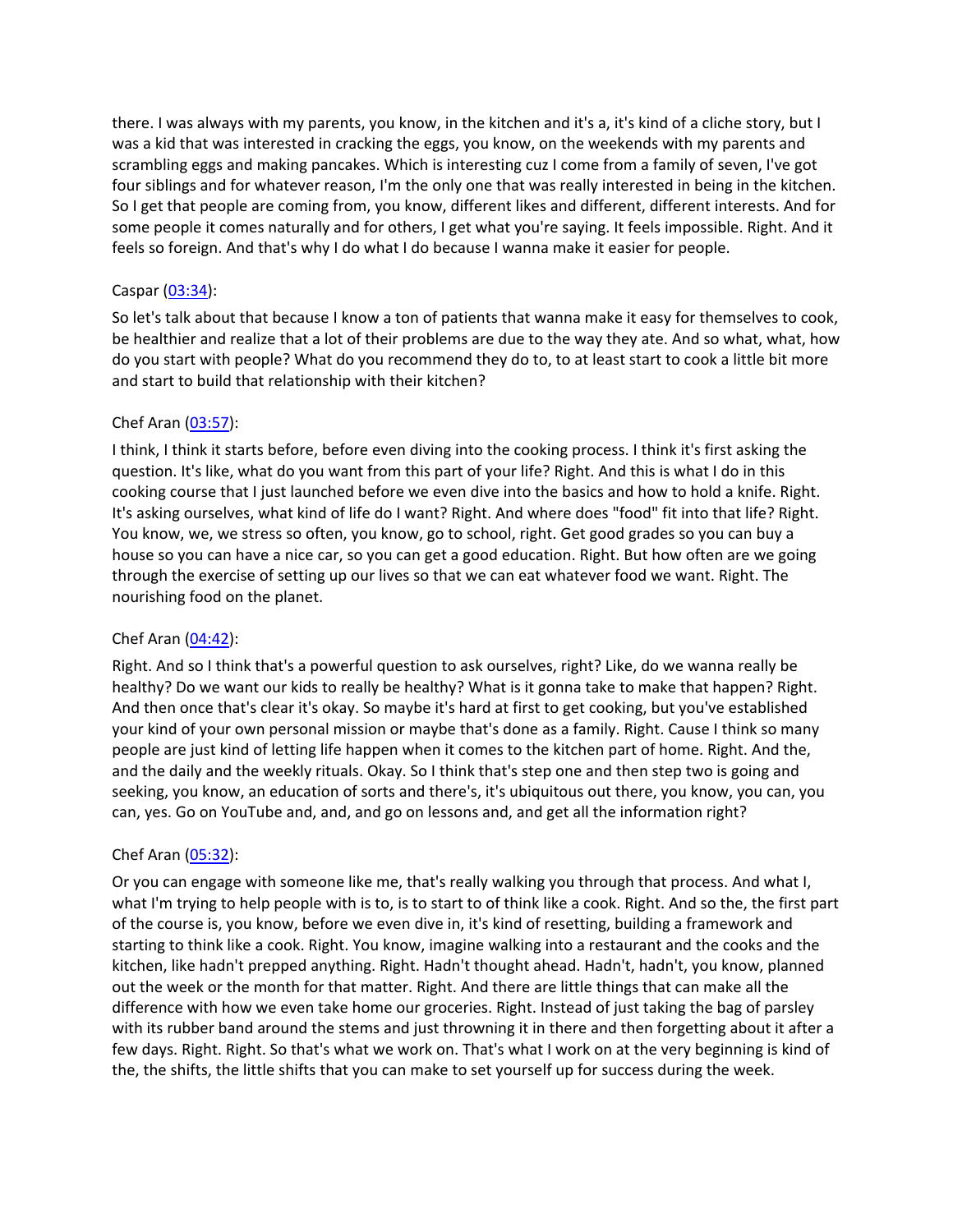there. I was always with my parents, you know, in the kitchen and it's a, it's kind of a cliche story, but I was a kid that was interested in cracking the eggs, you know, on the weekends with my parents and scrambling eggs and making pancakes. Which is interesting cuz I come from a family of seven, I've got four siblings and for whatever reason, I'm the only one that was really interested in being in the kitchen. So I get that people are coming from, you know, different likes and different, different interests. And for some people it comes naturally and for others, I get what you're saying. It feels impossible. Right. And it feels so foreign. And that's why I do what I do because I wanna make it easier for people.

## Caspar [\(03:34](https://www.temi.com/editor/t/C2OHmcaxYhkInUSNKS0Mu2rCE2dq0NKBGSdgnOPifiFQQ2yTnlRox7z0aJKFF5bGFu2LjOu5KCoBVTWWvUz4A9UOhec?loadFrom=DocumentDeeplink&ts=214.73)):

So let's talk about that because I know a ton of patients that wanna make it easy for themselves to cook, be healthier and realize that a lot of their problems are due to the way they ate. And so what, what, how do you start with people? What do you recommend they do to, to at least start to cook a little bit more and start to build that relationship with their kitchen?

## Chef Aran [\(03:57](https://www.temi.com/editor/t/C2OHmcaxYhkInUSNKS0Mu2rCE2dq0NKBGSdgnOPifiFQQ2yTnlRox7z0aJKFF5bGFu2LjOu5KCoBVTWWvUz4A9UOhec?loadFrom=DocumentDeeplink&ts=237.98)):

I think, I think it starts before, before even diving into the cooking process. I think it's first asking the question. It's like, what do you want from this part of your life? Right. And this is what I do in this cooking course that I just launched before we even dive into the basics and how to hold a knife. Right. It's asking ourselves, what kind of life do I want? Right. And where does "food" fit into that life? Right. You know, we, we stress so often, you know, go to school, right. Get good grades so you can buy a house so you can have a nice car, so you can get a good education. Right. But how often are we going through the exercise of setting up our lives so that we can eat whatever food we want. Right. The nourishing food on the planet.

## Chef Aran [\(04:42](https://www.temi.com/editor/t/C2OHmcaxYhkInUSNKS0Mu2rCE2dq0NKBGSdgnOPifiFQQ2yTnlRox7z0aJKFF5bGFu2LjOu5KCoBVTWWvUz4A9UOhec?loadFrom=DocumentDeeplink&ts=282.5)):

Right. And so I think that's a powerful question to ask ourselves, right? Like, do we wanna really be healthy? Do we want our kids to really be healthy? What is it gonna take to make that happen? Right. And then once that's clear it's okay. So maybe it's hard at first to get cooking, but you've established your kind of your own personal mission or maybe that's done as a family. Right. Cause I think so many people are just kind of letting life happen when it comes to the kitchen part of home. Right. And the, and the daily and the weekly rituals. Okay. So I think that's step one and then step two is going and seeking, you know, an education of sorts and there's, it's ubiquitous out there, you know, you can, you can, yes. Go on YouTube and, and, and go on lessons and, and get all the information right?

# Chef Aran [\(05:32](https://www.temi.com/editor/t/C2OHmcaxYhkInUSNKS0Mu2rCE2dq0NKBGSdgnOPifiFQQ2yTnlRox7z0aJKFF5bGFu2LjOu5KCoBVTWWvUz4A9UOhec?loadFrom=DocumentDeeplink&ts=332.55)):

Or you can engage with someone like me, that's really walking you through that process. And what I, what I'm trying to help people with is to, is to start to of think like a cook. Right. And so the, the first part of the course is, you know, before we even dive in, it's kind of resetting, building a framework and starting to think like a cook. Right. You know, imagine walking into a restaurant and the cooks and the kitchen, like hadn't prepped anything. Right. Hadn't thought ahead. Hadn't, hadn't, you know, planned out the week or the month for that matter. Right. And there are little things that can make all the difference with how we even take home our groceries. Right. Instead of just taking the bag of parsley with its rubber band around the stems and just throwning it in there and then forgetting about it after a few days. Right. Right. So that's what we work on. That's what I work on at the very beginning is kind of the, the shifts, the little shifts that you can make to set yourself up for success during the week.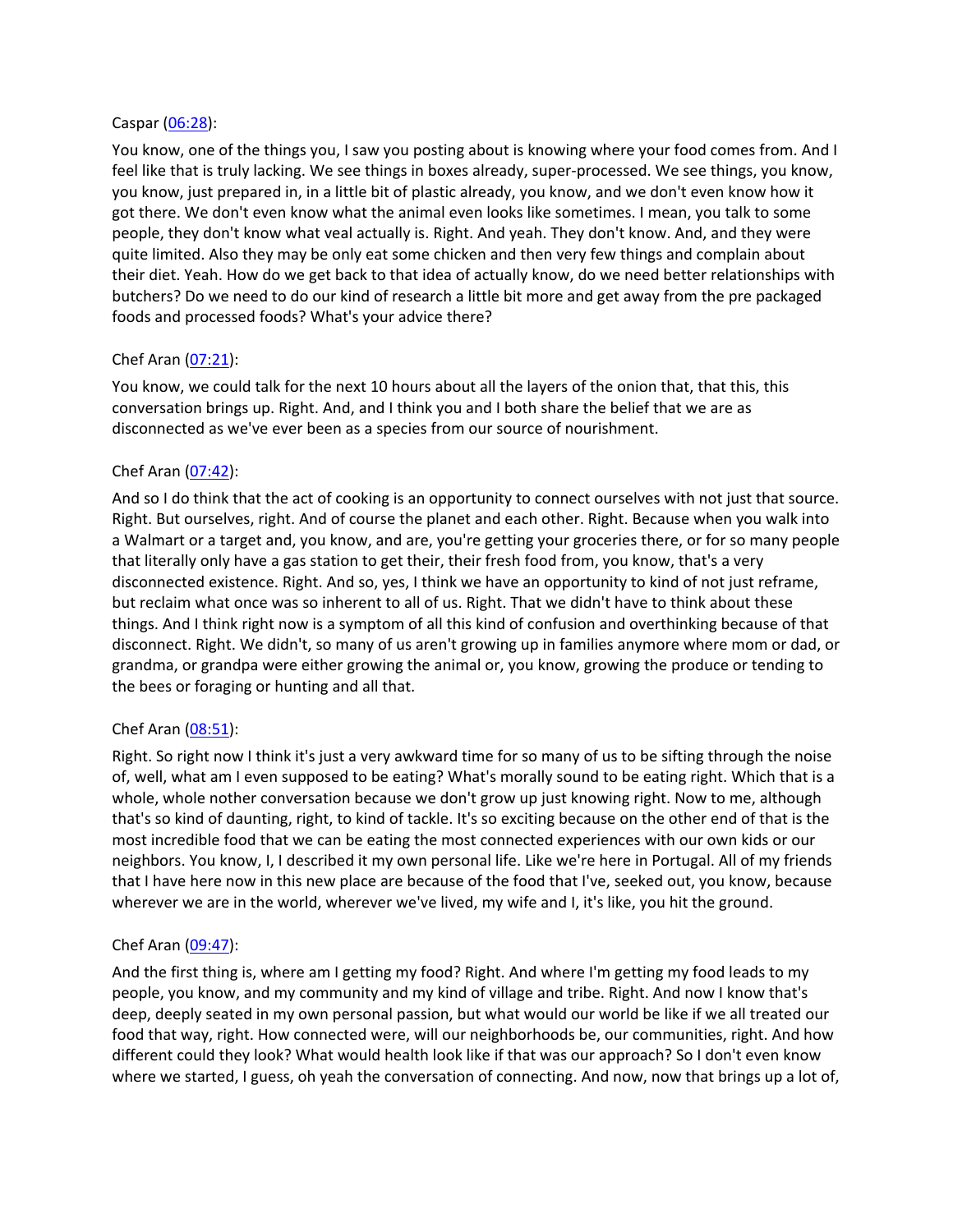#### Caspar [\(06:28](https://www.temi.com/editor/t/C2OHmcaxYhkInUSNKS0Mu2rCE2dq0NKBGSdgnOPifiFQQ2yTnlRox7z0aJKFF5bGFu2LjOu5KCoBVTWWvUz4A9UOhec?loadFrom=DocumentDeeplink&ts=388.73)):

You know, one of the things you, I saw you posting about is knowing where your food comes from. And I feel like that is truly lacking. We see things in boxes already, super-processed. We see things, you know, you know, just prepared in, in a little bit of plastic already, you know, and we don't even know how it got there. We don't even know what the animal even looks like sometimes. I mean, you talk to some people, they don't know what veal actually is. Right. And yeah. They don't know. And, and they were quite limited. Also they may be only eat some chicken and then very few things and complain about their diet. Yeah. How do we get back to that idea of actually know, do we need better relationships with butchers? Do we need to do our kind of research a little bit more and get away from the pre packaged foods and processed foods? What's your advice there?

## Chef Aran [\(07:21](https://www.temi.com/editor/t/C2OHmcaxYhkInUSNKS0Mu2rCE2dq0NKBGSdgnOPifiFQQ2yTnlRox7z0aJKFF5bGFu2LjOu5KCoBVTWWvUz4A9UOhec?loadFrom=DocumentDeeplink&ts=441.49)):

You know, we could talk for the next 10 hours about all the layers of the onion that, that this, this conversation brings up. Right. And, and I think you and I both share the belief that we are as disconnected as we've ever been as a species from our source of nourishment.

## Chef Aran [\(07:42](https://www.temi.com/editor/t/C2OHmcaxYhkInUSNKS0Mu2rCE2dq0NKBGSdgnOPifiFQQ2yTnlRox7z0aJKFF5bGFu2LjOu5KCoBVTWWvUz4A9UOhec?loadFrom=DocumentDeeplink&ts=462.01)):

And so I do think that the act of cooking is an opportunity to connect ourselves with not just that source. Right. But ourselves, right. And of course the planet and each other. Right. Because when you walk into a Walmart or a target and, you know, and are, you're getting your groceries there, or for so many people that literally only have a gas station to get their, their fresh food from, you know, that's a very disconnected existence. Right. And so, yes, I think we have an opportunity to kind of not just reframe, but reclaim what once was so inherent to all of us. Right. That we didn't have to think about these things. And I think right now is a symptom of all this kind of confusion and overthinking because of that disconnect. Right. We didn't, so many of us aren't growing up in families anymore where mom or dad, or grandma, or grandpa were either growing the animal or, you know, growing the produce or tending to the bees or foraging or hunting and all that.

## Chef Aran [\(08:51](https://www.temi.com/editor/t/C2OHmcaxYhkInUSNKS0Mu2rCE2dq0NKBGSdgnOPifiFQQ2yTnlRox7z0aJKFF5bGFu2LjOu5KCoBVTWWvUz4A9UOhec?loadFrom=DocumentDeeplink&ts=531.54)):

Right. So right now I think it's just a very awkward time for so many of us to be sifting through the noise of, well, what am I even supposed to be eating? What's morally sound to be eating right. Which that is a whole, whole nother conversation because we don't grow up just knowing right. Now to me, although that's so kind of daunting, right, to kind of tackle. It's so exciting because on the other end of that is the most incredible food that we can be eating the most connected experiences with our own kids or our neighbors. You know, I, I described it my own personal life. Like we're here in Portugal. All of my friends that I have here now in this new place are because of the food that I've, seeked out, you know, because wherever we are in the world, wherever we've lived, my wife and I, it's like, you hit the ground.

## Chef Aran [\(09:47](https://www.temi.com/editor/t/C2OHmcaxYhkInUSNKS0Mu2rCE2dq0NKBGSdgnOPifiFQQ2yTnlRox7z0aJKFF5bGFu2LjOu5KCoBVTWWvUz4A9UOhec?loadFrom=DocumentDeeplink&ts=587.89)):

And the first thing is, where am I getting my food? Right. And where I'm getting my food leads to my people, you know, and my community and my kind of village and tribe. Right. And now I know that's deep, deeply seated in my own personal passion, but what would our world be like if we all treated our food that way, right. How connected were, will our neighborhoods be, our communities, right. And how different could they look? What would health look like if that was our approach? So I don't even know where we started, I guess, oh yeah the conversation of connecting. And now, now that brings up a lot of,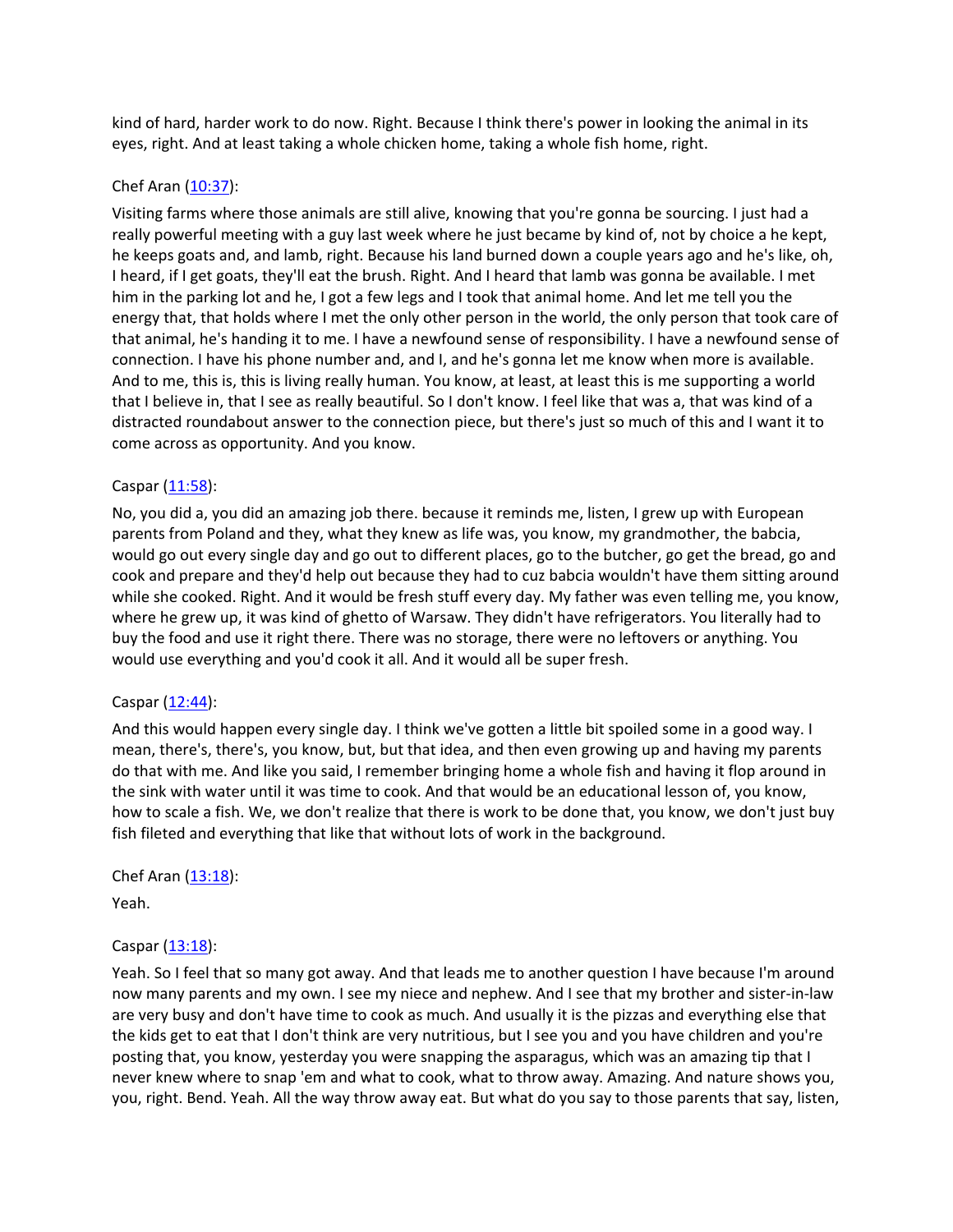kind of hard, harder work to do now. Right. Because I think there's power in looking the animal in its eyes, right. And at least taking a whole chicken home, taking a whole fish home, right.

## Chef Aran [\(10:37](https://www.temi.com/editor/t/C2OHmcaxYhkInUSNKS0Mu2rCE2dq0NKBGSdgnOPifiFQQ2yTnlRox7z0aJKFF5bGFu2LjOu5KCoBVTWWvUz4A9UOhec?loadFrom=DocumentDeeplink&ts=637.35)):

Visiting farms where those animals are still alive, knowing that you're gonna be sourcing. I just had a really powerful meeting with a guy last week where he just became by kind of, not by choice a he kept, he keeps goats and, and lamb, right. Because his land burned down a couple years ago and he's like, oh, I heard, if I get goats, they'll eat the brush. Right. And I heard that lamb was gonna be available. I met him in the parking lot and he, I got a few legs and I took that animal home. And let me tell you the energy that, that holds where I met the only other person in the world, the only person that took care of that animal, he's handing it to me. I have a newfound sense of responsibility. I have a newfound sense of connection. I have his phone number and, and I, and he's gonna let me know when more is available. And to me, this is, this is living really human. You know, at least, at least this is me supporting a world that I believe in, that I see as really beautiful. So I don't know. I feel like that was a, that was kind of a distracted roundabout answer to the connection piece, but there's just so much of this and I want it to come across as opportunity. And you know.

## Caspar [\(11:58](https://www.temi.com/editor/t/C2OHmcaxYhkInUSNKS0Mu2rCE2dq0NKBGSdgnOPifiFQQ2yTnlRox7z0aJKFF5bGFu2LjOu5KCoBVTWWvUz4A9UOhec?loadFrom=DocumentDeeplink&ts=718.6)):

No, you did a, you did an amazing job there. because it reminds me, listen, I grew up with European parents from Poland and they, what they knew as life was, you know, my grandmother, the babcia, would go out every single day and go out to different places, go to the butcher, go get the bread, go and cook and prepare and they'd help out because they had to cuz babcia wouldn't have them sitting around while she cooked. Right. And it would be fresh stuff every day. My father was even telling me, you know, where he grew up, it was kind of ghetto of Warsaw. They didn't have refrigerators. You literally had to buy the food and use it right there. There was no storage, there were no leftovers or anything. You would use everything and you'd cook it all. And it would all be super fresh.

# Caspar [\(12:44](https://www.temi.com/editor/t/C2OHmcaxYhkInUSNKS0Mu2rCE2dq0NKBGSdgnOPifiFQQ2yTnlRox7z0aJKFF5bGFu2LjOu5KCoBVTWWvUz4A9UOhec?loadFrom=DocumentDeeplink&ts=764.8)):

And this would happen every single day. I think we've gotten a little bit spoiled some in a good way. I mean, there's, there's, you know, but, but that idea, and then even growing up and having my parents do that with me. And like you said, I remember bringing home a whole fish and having it flop around in the sink with water until it was time to cook. And that would be an educational lesson of, you know, how to scale a fish. We, we don't realize that there is work to be done that, you know, we don't just buy fish fileted and everything that like that without lots of work in the background.

# Chef Aran  $(13:18)$  $(13:18)$ :

Yeah.

# Caspar [\(13:18](https://www.temi.com/editor/t/C2OHmcaxYhkInUSNKS0Mu2rCE2dq0NKBGSdgnOPifiFQQ2yTnlRox7z0aJKFF5bGFu2LjOu5KCoBVTWWvUz4A9UOhec?loadFrom=DocumentDeeplink&ts=798.92)):

Yeah. So I feel that so many got away. And that leads me to another question I have because I'm around now many parents and my own. I see my niece and nephew. And I see that my brother and sister-in-law are very busy and don't have time to cook as much. And usually it is the pizzas and everything else that the kids get to eat that I don't think are very nutritious, but I see you and you have children and you're posting that, you know, yesterday you were snapping the asparagus, which was an amazing tip that I never knew where to snap 'em and what to cook, what to throw away. Amazing. And nature shows you, you, right. Bend. Yeah. All the way throw away eat. But what do you say to those parents that say, listen,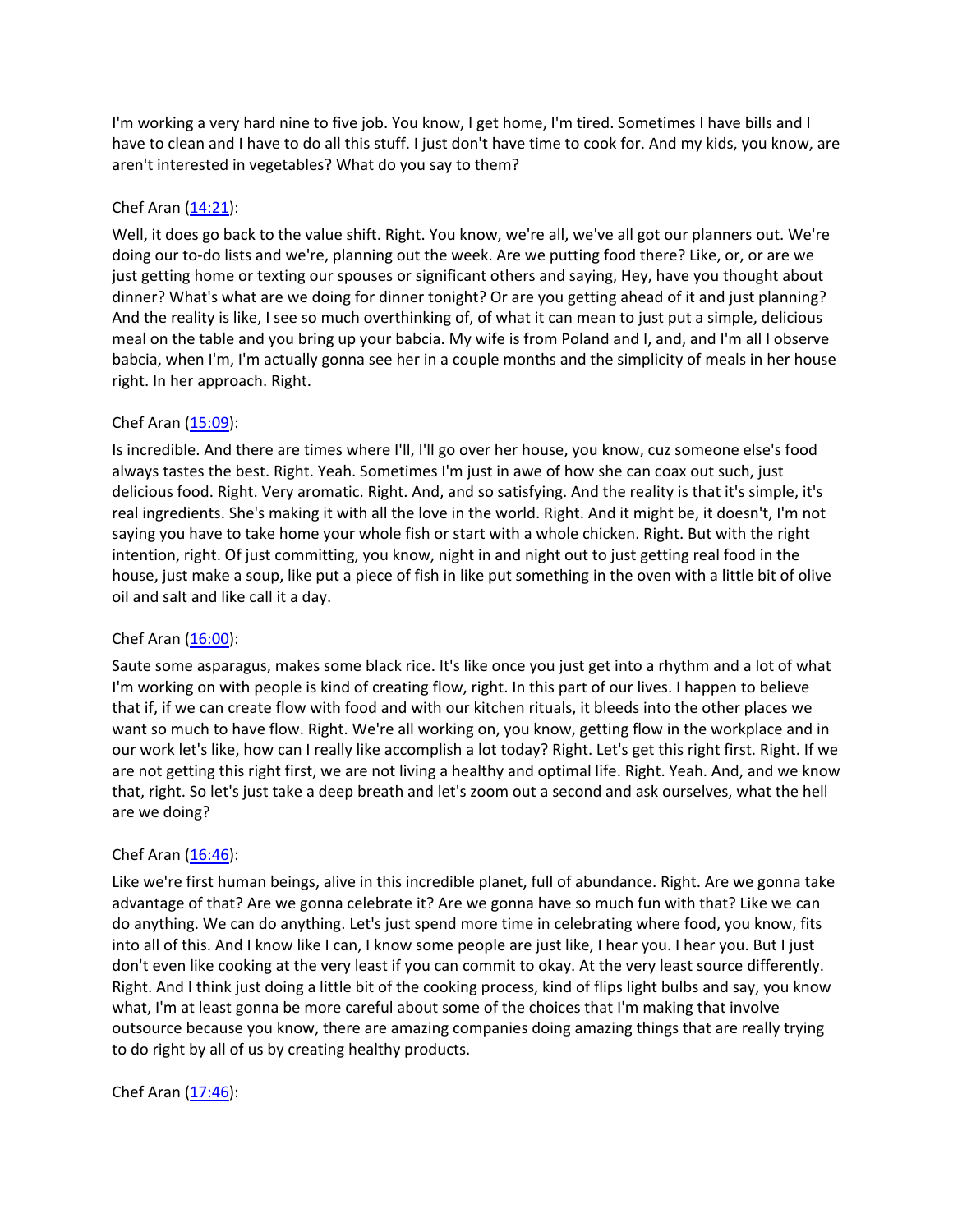I'm working a very hard nine to five job. You know, I get home, I'm tired. Sometimes I have bills and I have to clean and I have to do all this stuff. I just don't have time to cook for. And my kids, you know, are aren't interested in vegetables? What do you say to them?

## Chef Aran [\(14:21](https://www.temi.com/editor/t/C2OHmcaxYhkInUSNKS0Mu2rCE2dq0NKBGSdgnOPifiFQQ2yTnlRox7z0aJKFF5bGFu2LjOu5KCoBVTWWvUz4A9UOhec?loadFrom=DocumentDeeplink&ts=861.4)):

Well, it does go back to the value shift. Right. You know, we're all, we've all got our planners out. We're doing our to-do lists and we're, planning out the week. Are we putting food there? Like, or, or are we just getting home or texting our spouses or significant others and saying, Hey, have you thought about dinner? What's what are we doing for dinner tonight? Or are you getting ahead of it and just planning? And the reality is like, I see so much overthinking of, of what it can mean to just put a simple, delicious meal on the table and you bring up your babcia. My wife is from Poland and I, and, and I'm all I observe babcia, when I'm, I'm actually gonna see her in a couple months and the simplicity of meals in her house right. In her approach. Right.

## Chef Aran [\(15:09](https://www.temi.com/editor/t/C2OHmcaxYhkInUSNKS0Mu2rCE2dq0NKBGSdgnOPifiFQQ2yTnlRox7z0aJKFF5bGFu2LjOu5KCoBVTWWvUz4A9UOhec?loadFrom=DocumentDeeplink&ts=909.7)):

Is incredible. And there are times where I'll, I'll go over her house, you know, cuz someone else's food always tastes the best. Right. Yeah. Sometimes I'm just in awe of how she can coax out such, just delicious food. Right. Very aromatic. Right. And, and so satisfying. And the reality is that it's simple, it's real ingredients. She's making it with all the love in the world. Right. And it might be, it doesn't, I'm not saying you have to take home your whole fish or start with a whole chicken. Right. But with the right intention, right. Of just committing, you know, night in and night out to just getting real food in the house, just make a soup, like put a piece of fish in like put something in the oven with a little bit of olive oil and salt and like call it a day.

## Chef Aran  $(16:00)$  $(16:00)$ :

Saute some asparagus, makes some black rice. It's like once you just get into a rhythm and a lot of what I'm working on with people is kind of creating flow, right. In this part of our lives. I happen to believe that if, if we can create flow with food and with our kitchen rituals, it bleeds into the other places we want so much to have flow. Right. We're all working on, you know, getting flow in the workplace and in our work let's like, how can I really like accomplish a lot today? Right. Let's get this right first. Right. If we are not getting this right first, we are not living a healthy and optimal life. Right. Yeah. And, and we know that, right. So let's just take a deep breath and let's zoom out a second and ask ourselves, what the hell are we doing?

# Chef Aran  $(16:46)$  $(16:46)$ :

Like we're first human beings, alive in this incredible planet, full of abundance. Right. Are we gonna take advantage of that? Are we gonna celebrate it? Are we gonna have so much fun with that? Like we can do anything. We can do anything. Let's just spend more time in celebrating where food, you know, fits into all of this. And I know like I can, I know some people are just like, I hear you. I hear you. But I just don't even like cooking at the very least if you can commit to okay. At the very least source differently. Right. And I think just doing a little bit of the cooking process, kind of flips light bulbs and say, you know what, I'm at least gonna be more careful about some of the choices that I'm making that involve outsource because you know, there are amazing companies doing amazing things that are really trying to do right by all of us by creating healthy products.

## Chef Aran  $(17:46)$  $(17:46)$ :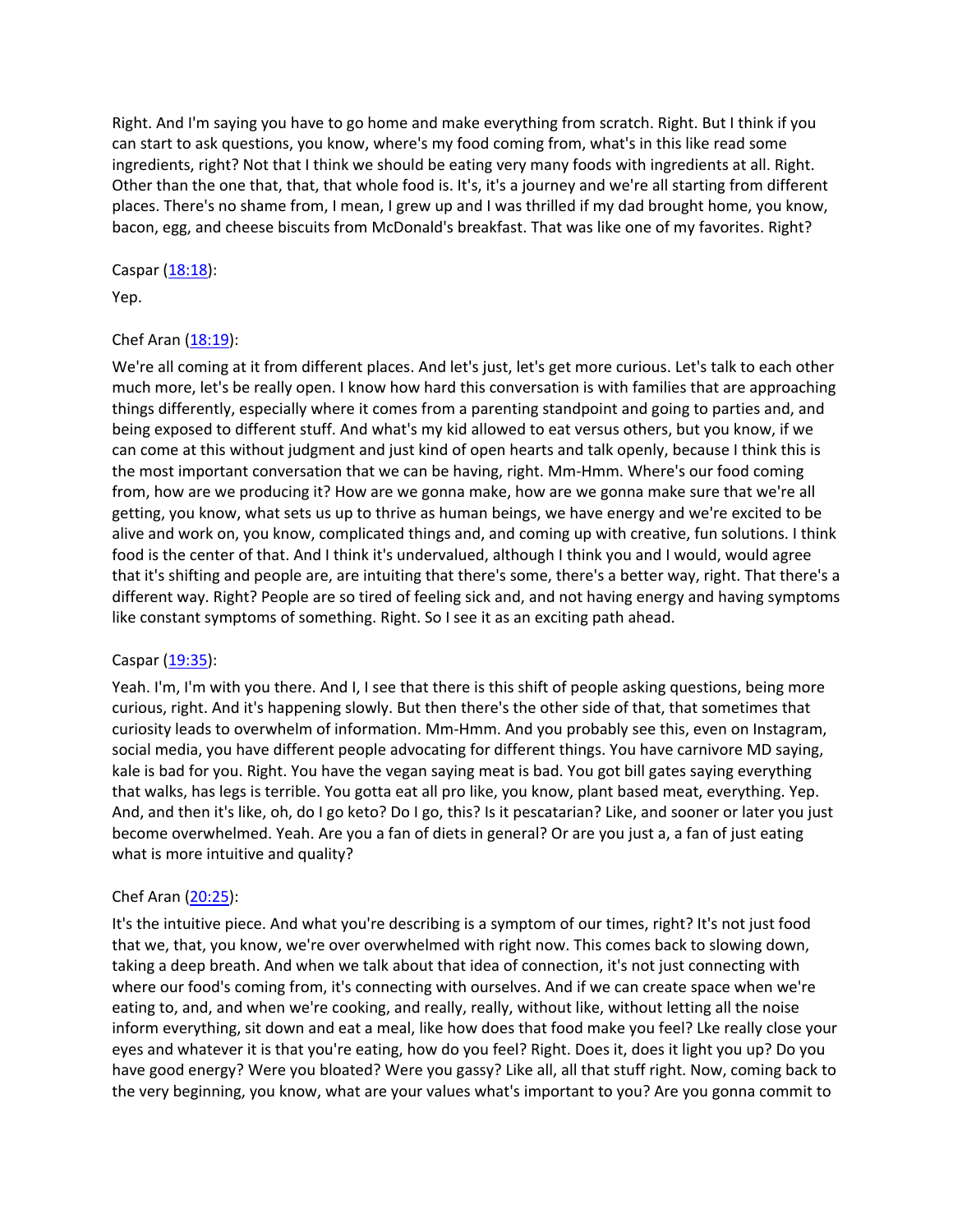Right. And I'm saying you have to go home and make everything from scratch. Right. But I think if you can start to ask questions, you know, where's my food coming from, what's in this like read some ingredients, right? Not that I think we should be eating very many foods with ingredients at all. Right. Other than the one that, that, that whole food is. It's, it's a journey and we're all starting from different places. There's no shame from, I mean, I grew up and I was thrilled if my dad brought home, you know, bacon, egg, and cheese biscuits from McDonald's breakfast. That was like one of my favorites. Right?

#### Caspar [\(18:18](https://www.temi.com/editor/t/C2OHmcaxYhkInUSNKS0Mu2rCE2dq0NKBGSdgnOPifiFQQ2yTnlRox7z0aJKFF5bGFu2LjOu5KCoBVTWWvUz4A9UOhec?loadFrom=DocumentDeeplink&ts=1098.71)):

Yep.

## Chef Aran  $(18:19)$  $(18:19)$ :

We're all coming at it from different places. And let's just, let's get more curious. Let's talk to each other much more, let's be really open. I know how hard this conversation is with families that are approaching things differently, especially where it comes from a parenting standpoint and going to parties and, and being exposed to different stuff. And what's my kid allowed to eat versus others, but you know, if we can come at this without judgment and just kind of open hearts and talk openly, because I think this is the most important conversation that we can be having, right. Mm-Hmm. Where's our food coming from, how are we producing it? How are we gonna make, how are we gonna make sure that we're all getting, you know, what sets us up to thrive as human beings, we have energy and we're excited to be alive and work on, you know, complicated things and, and coming up with creative, fun solutions. I think food is the center of that. And I think it's undervalued, although I think you and I would, would agree that it's shifting and people are, are intuiting that there's some, there's a better way, right. That there's a different way. Right? People are so tired of feeling sick and, and not having energy and having symptoms like constant symptoms of something. Right. So I see it as an exciting path ahead.

#### Caspar [\(19:35](https://www.temi.com/editor/t/C2OHmcaxYhkInUSNKS0Mu2rCE2dq0NKBGSdgnOPifiFQQ2yTnlRox7z0aJKFF5bGFu2LjOu5KCoBVTWWvUz4A9UOhec?loadFrom=DocumentDeeplink&ts=1175.5)):

Yeah. I'm, I'm with you there. And I, I see that there is this shift of people asking questions, being more curious, right. And it's happening slowly. But then there's the other side of that, that sometimes that curiosity leads to overwhelm of information. Mm-Hmm. And you probably see this, even on Instagram, social media, you have different people advocating for different things. You have carnivore MD saying, kale is bad for you. Right. You have the vegan saying meat is bad. You got bill gates saying everything that walks, has legs is terrible. You gotta eat all pro like, you know, plant based meat, everything. Yep. And, and then it's like, oh, do I go keto? Do I go, this? Is it pescatarian? Like, and sooner or later you just become overwhelmed. Yeah. Are you a fan of diets in general? Or are you just a, a fan of just eating what is more intuitive and quality?

## Chef Aran [\(20:25](https://www.temi.com/editor/t/C2OHmcaxYhkInUSNKS0Mu2rCE2dq0NKBGSdgnOPifiFQQ2yTnlRox7z0aJKFF5bGFu2LjOu5KCoBVTWWvUz4A9UOhec?loadFrom=DocumentDeeplink&ts=1225.359)):

It's the intuitive piece. And what you're describing is a symptom of our times, right? It's not just food that we, that, you know, we're over overwhelmed with right now. This comes back to slowing down, taking a deep breath. And when we talk about that idea of connection, it's not just connecting with where our food's coming from, it's connecting with ourselves. And if we can create space when we're eating to, and, and when we're cooking, and really, really, without like, without letting all the noise inform everything, sit down and eat a meal, like how does that food make you feel? Lke really close your eyes and whatever it is that you're eating, how do you feel? Right. Does it, does it light you up? Do you have good energy? Were you bloated? Were you gassy? Like all, all that stuff right. Now, coming back to the very beginning, you know, what are your values what's important to you? Are you gonna commit to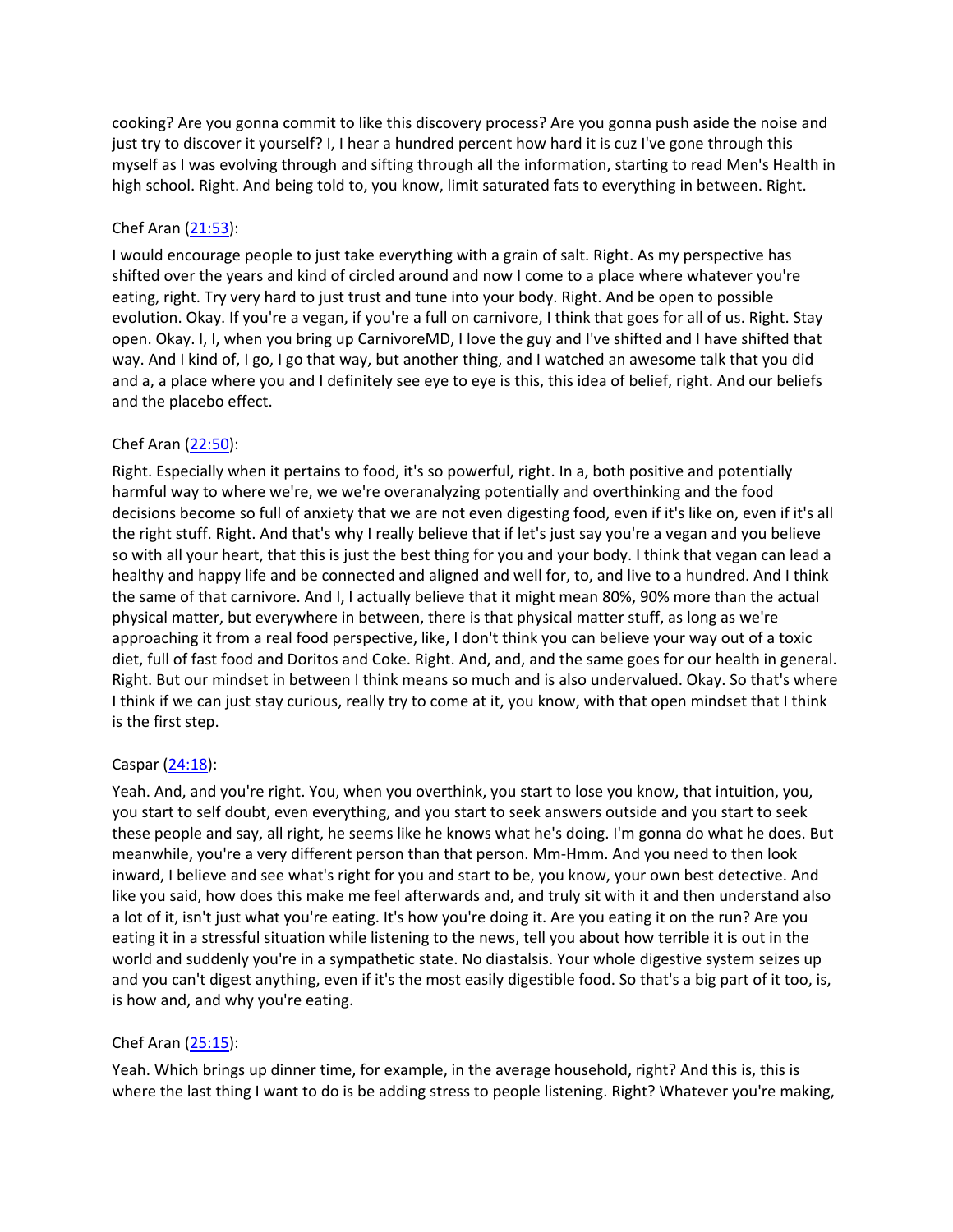cooking? Are you gonna commit to like this discovery process? Are you gonna push aside the noise and just try to discover it yourself? I, I hear a hundred percent how hard it is cuz I've gone through this myself as I was evolving through and sifting through all the information, starting to read Men's Health in high school. Right. And being told to, you know, limit saturated fats to everything in between. Right.

# Chef Aran [\(21:53](https://www.temi.com/editor/t/C2OHmcaxYhkInUSNKS0Mu2rCE2dq0NKBGSdgnOPifiFQQ2yTnlRox7z0aJKFF5bGFu2LjOu5KCoBVTWWvUz4A9UOhec?loadFrom=DocumentDeeplink&ts=1313.1)):

I would encourage people to just take everything with a grain of salt. Right. As my perspective has shifted over the years and kind of circled around and now I come to a place where whatever you're eating, right. Try very hard to just trust and tune into your body. Right. And be open to possible evolution. Okay. If you're a vegan, if you're a full on carnivore, I think that goes for all of us. Right. Stay open. Okay. I, I, when you bring up CarnivoreMD, I love the guy and I've shifted and I have shifted that way. And I kind of, I go, I go that way, but another thing, and I watched an awesome talk that you did and a, a place where you and I definitely see eye to eye is this, this idea of belief, right. And our beliefs and the placebo effect.

## Chef Aran [\(22:50](https://www.temi.com/editor/t/C2OHmcaxYhkInUSNKS0Mu2rCE2dq0NKBGSdgnOPifiFQQ2yTnlRox7z0aJKFF5bGFu2LjOu5KCoBVTWWvUz4A9UOhec?loadFrom=DocumentDeeplink&ts=1370.19)):

Right. Especially when it pertains to food, it's so powerful, right. In a, both positive and potentially harmful way to where we're, we we're overanalyzing potentially and overthinking and the food decisions become so full of anxiety that we are not even digesting food, even if it's like on, even if it's all the right stuff. Right. And that's why I really believe that if let's just say you're a vegan and you believe so with all your heart, that this is just the best thing for you and your body. I think that vegan can lead a healthy and happy life and be connected and aligned and well for, to, and live to a hundred. And I think the same of that carnivore. And I, I actually believe that it might mean 80%, 90% more than the actual physical matter, but everywhere in between, there is that physical matter stuff, as long as we're approaching it from a real food perspective, like, I don't think you can believe your way out of a toxic diet, full of fast food and Doritos and Coke. Right. And, and, and the same goes for our health in general. Right. But our mindset in between I think means so much and is also undervalued. Okay. So that's where I think if we can just stay curious, really try to come at it, you know, with that open mindset that I think is the first step.

## Caspar [\(24:18](https://www.temi.com/editor/t/C2OHmcaxYhkInUSNKS0Mu2rCE2dq0NKBGSdgnOPifiFQQ2yTnlRox7z0aJKFF5bGFu2LjOu5KCoBVTWWvUz4A9UOhec?loadFrom=DocumentDeeplink&ts=1458.56)):

Yeah. And, and you're right. You, when you overthink, you start to lose you know, that intuition, you, you start to self doubt, even everything, and you start to seek answers outside and you start to seek these people and say, all right, he seems like he knows what he's doing. I'm gonna do what he does. But meanwhile, you're a very different person than that person. Mm-Hmm. And you need to then look inward, I believe and see what's right for you and start to be, you know, your own best detective. And like you said, how does this make me feel afterwards and, and truly sit with it and then understand also a lot of it, isn't just what you're eating. It's how you're doing it. Are you eating it on the run? Are you eating it in a stressful situation while listening to the news, tell you about how terrible it is out in the world and suddenly you're in a sympathetic state. No diastalsis. Your whole digestive system seizes up and you can't digest anything, even if it's the most easily digestible food. So that's a big part of it too, is, is how and, and why you're eating.

# Chef Aran [\(25:15](https://www.temi.com/editor/t/C2OHmcaxYhkInUSNKS0Mu2rCE2dq0NKBGSdgnOPifiFQQ2yTnlRox7z0aJKFF5bGFu2LjOu5KCoBVTWWvUz4A9UOhec?loadFrom=DocumentDeeplink&ts=1515.93)):

Yeah. Which brings up dinner time, for example, in the average household, right? And this is, this is where the last thing I want to do is be adding stress to people listening. Right? Whatever you're making,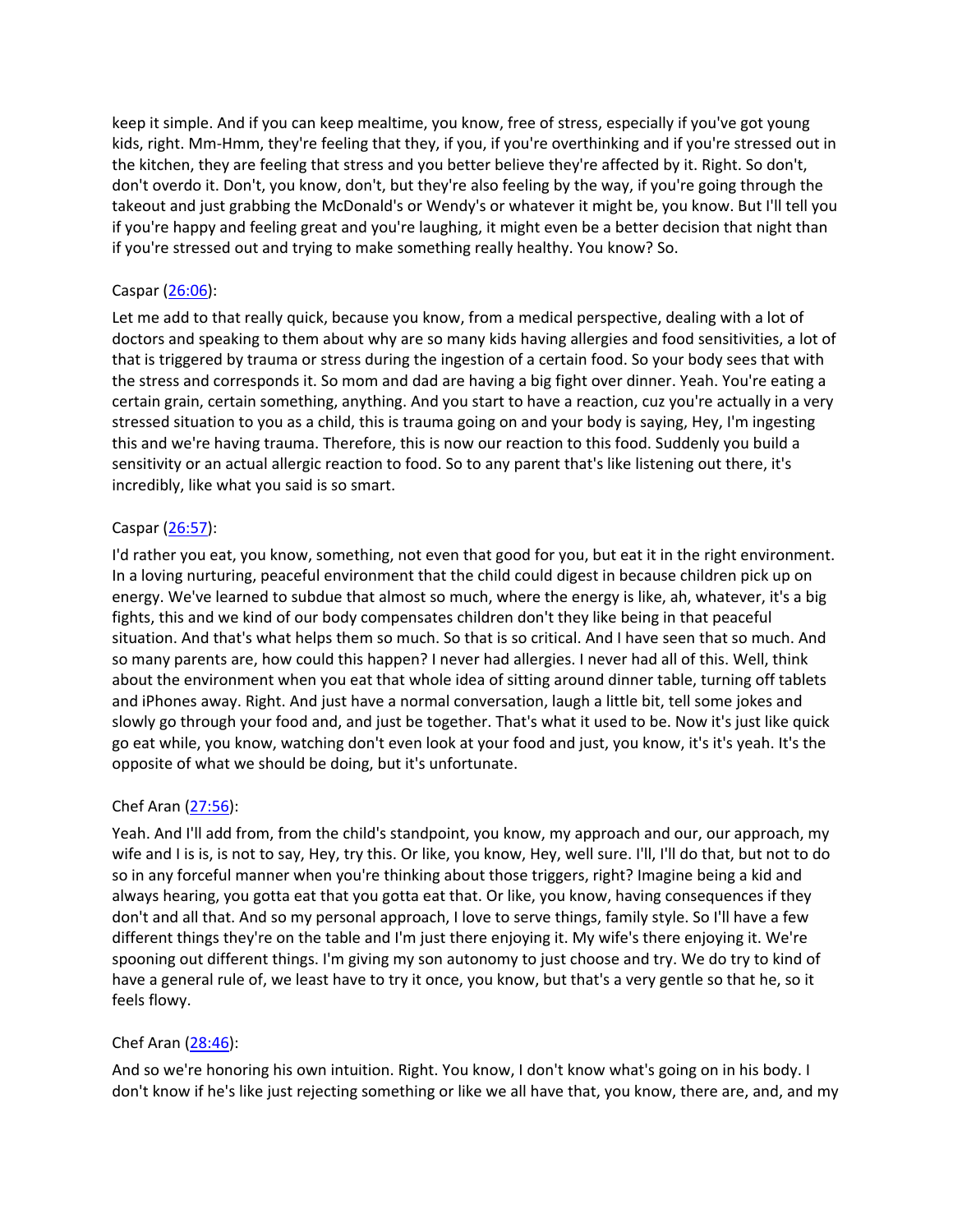keep it simple. And if you can keep mealtime, you know, free of stress, especially if you've got young kids, right. Mm-Hmm, they're feeling that they, if you, if you're overthinking and if you're stressed out in the kitchen, they are feeling that stress and you better believe they're affected by it. Right. So don't, don't overdo it. Don't, you know, don't, but they're also feeling by the way, if you're going through the takeout and just grabbing the McDonald's or Wendy's or whatever it might be, you know. But I'll tell you if you're happy and feeling great and you're laughing, it might even be a better decision that night than if you're stressed out and trying to make something really healthy. You know? So.

#### Caspar [\(26:06](https://www.temi.com/editor/t/C2OHmcaxYhkInUSNKS0Mu2rCE2dq0NKBGSdgnOPifiFQQ2yTnlRox7z0aJKFF5bGFu2LjOu5KCoBVTWWvUz4A9UOhec?loadFrom=DocumentDeeplink&ts=1566.66)):

Let me add to that really quick, because you know, from a medical perspective, dealing with a lot of doctors and speaking to them about why are so many kids having allergies and food sensitivities, a lot of that is triggered by trauma or stress during the ingestion of a certain food. So your body sees that with the stress and corresponds it. So mom and dad are having a big fight over dinner. Yeah. You're eating a certain grain, certain something, anything. And you start to have a reaction, cuz you're actually in a very stressed situation to you as a child, this is trauma going on and your body is saying, Hey, I'm ingesting this and we're having trauma. Therefore, this is now our reaction to this food. Suddenly you build a sensitivity or an actual allergic reaction to food. So to any parent that's like listening out there, it's incredibly, like what you said is so smart.

#### Caspar [\(26:57](https://www.temi.com/editor/t/C2OHmcaxYhkInUSNKS0Mu2rCE2dq0NKBGSdgnOPifiFQQ2yTnlRox7z0aJKFF5bGFu2LjOu5KCoBVTWWvUz4A9UOhec?loadFrom=DocumentDeeplink&ts=1617.5)):

I'd rather you eat, you know, something, not even that good for you, but eat it in the right environment. In a loving nurturing, peaceful environment that the child could digest in because children pick up on energy. We've learned to subdue that almost so much, where the energy is like, ah, whatever, it's a big fights, this and we kind of our body compensates children don't they like being in that peaceful situation. And that's what helps them so much. So that is so critical. And I have seen that so much. And so many parents are, how could this happen? I never had allergies. I never had all of this. Well, think about the environment when you eat that whole idea of sitting around dinner table, turning off tablets and iPhones away. Right. And just have a normal conversation, laugh a little bit, tell some jokes and slowly go through your food and, and just be together. That's what it used to be. Now it's just like quick go eat while, you know, watching don't even look at your food and just, you know, it's it's yeah. It's the opposite of what we should be doing, but it's unfortunate.

#### Chef Aran [\(27:56](https://www.temi.com/editor/t/C2OHmcaxYhkInUSNKS0Mu2rCE2dq0NKBGSdgnOPifiFQQ2yTnlRox7z0aJKFF5bGFu2LjOu5KCoBVTWWvUz4A9UOhec?loadFrom=DocumentDeeplink&ts=1676.84)):

Yeah. And I'll add from, from the child's standpoint, you know, my approach and our, our approach, my wife and I is is, is not to say, Hey, try this. Or like, you know, Hey, well sure. I'll, I'll do that, but not to do so in any forceful manner when you're thinking about those triggers, right? Imagine being a kid and always hearing, you gotta eat that you gotta eat that. Or like, you know, having consequences if they don't and all that. And so my personal approach, I love to serve things, family style. So I'll have a few different things they're on the table and I'm just there enjoying it. My wife's there enjoying it. We're spooning out different things. I'm giving my son autonomy to just choose and try. We do try to kind of have a general rule of, we least have to try it once, you know, but that's a very gentle so that he, so it feels flowy.

## Chef Aran [\(28:46](https://www.temi.com/editor/t/C2OHmcaxYhkInUSNKS0Mu2rCE2dq0NKBGSdgnOPifiFQQ2yTnlRox7z0aJKFF5bGFu2LjOu5KCoBVTWWvUz4A9UOhec?loadFrom=DocumentDeeplink&ts=1726.2)):

And so we're honoring his own intuition. Right. You know, I don't know what's going on in his body. I don't know if he's like just rejecting something or like we all have that, you know, there are, and, and my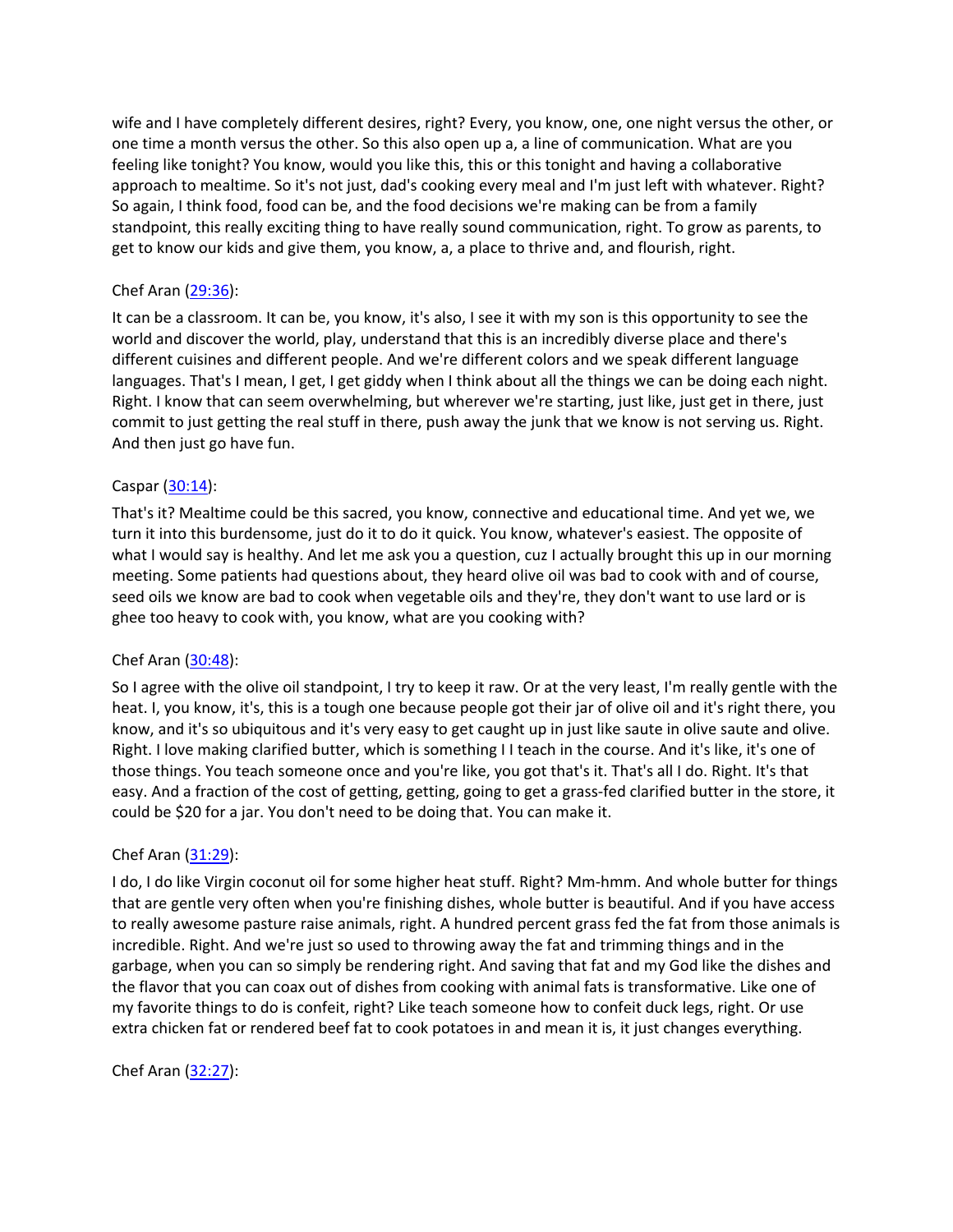wife and I have completely different desires, right? Every, you know, one, one night versus the other, or one time a month versus the other. So this also open up a, a line of communication. What are you feeling like tonight? You know, would you like this, this or this tonight and having a collaborative approach to mealtime. So it's not just, dad's cooking every meal and I'm just left with whatever. Right? So again, I think food, food can be, and the food decisions we're making can be from a family standpoint, this really exciting thing to have really sound communication, right. To grow as parents, to get to know our kids and give them, you know, a, a place to thrive and, and flourish, right.

## Chef Aran [\(29:36](https://www.temi.com/editor/t/C2OHmcaxYhkInUSNKS0Mu2rCE2dq0NKBGSdgnOPifiFQQ2yTnlRox7z0aJKFF5bGFu2LjOu5KCoBVTWWvUz4A9UOhec?loadFrom=DocumentDeeplink&ts=1776.62)):

It can be a classroom. It can be, you know, it's also, I see it with my son is this opportunity to see the world and discover the world, play, understand that this is an incredibly diverse place and there's different cuisines and different people. And we're different colors and we speak different language languages. That's I mean, I get, I get giddy when I think about all the things we can be doing each night. Right. I know that can seem overwhelming, but wherever we're starting, just like, just get in there, just commit to just getting the real stuff in there, push away the junk that we know is not serving us. Right. And then just go have fun.

## Caspar [\(30:14](https://www.temi.com/editor/t/C2OHmcaxYhkInUSNKS0Mu2rCE2dq0NKBGSdgnOPifiFQQ2yTnlRox7z0aJKFF5bGFu2LjOu5KCoBVTWWvUz4A9UOhec?loadFrom=DocumentDeeplink&ts=1814.49)):

That's it? Mealtime could be this sacred, you know, connective and educational time. And yet we, we turn it into this burdensome, just do it to do it quick. You know, whatever's easiest. The opposite of what I would say is healthy. And let me ask you a question, cuz I actually brought this up in our morning meeting. Some patients had questions about, they heard olive oil was bad to cook with and of course, seed oils we know are bad to cook when vegetable oils and they're, they don't want to use lard or is ghee too heavy to cook with, you know, what are you cooking with?

## Chef Aran [\(30:48](https://www.temi.com/editor/t/C2OHmcaxYhkInUSNKS0Mu2rCE2dq0NKBGSdgnOPifiFQQ2yTnlRox7z0aJKFF5bGFu2LjOu5KCoBVTWWvUz4A9UOhec?loadFrom=DocumentDeeplink&ts=1848.16)):

So I agree with the olive oil standpoint, I try to keep it raw. Or at the very least, I'm really gentle with the heat. I, you know, it's, this is a tough one because people got their jar of olive oil and it's right there, you know, and it's so ubiquitous and it's very easy to get caught up in just like saute in olive saute and olive. Right. I love making clarified butter, which is something I I teach in the course. And it's like, it's one of those things. You teach someone once and you're like, you got that's it. That's all I do. Right. It's that easy. And a fraction of the cost of getting, getting, going to get a grass-fed clarified butter in the store, it could be \$20 for a jar. You don't need to be doing that. You can make it.

## Chef Aran [\(31:29](https://www.temi.com/editor/t/C2OHmcaxYhkInUSNKS0Mu2rCE2dq0NKBGSdgnOPifiFQQ2yTnlRox7z0aJKFF5bGFu2LjOu5KCoBVTWWvUz4A9UOhec?loadFrom=DocumentDeeplink&ts=1889.68)):

I do, I do like Virgin coconut oil for some higher heat stuff. Right? Mm-hmm. And whole butter for things that are gentle very often when you're finishing dishes, whole butter is beautiful. And if you have access to really awesome pasture raise animals, right. A hundred percent grass fed the fat from those animals is incredible. Right. And we're just so used to throwing away the fat and trimming things and in the garbage, when you can so simply be rendering right. And saving that fat and my God like the dishes and the flavor that you can coax out of dishes from cooking with animal fats is transformative. Like one of my favorite things to do is confeit, right? Like teach someone how to confeit duck legs, right. Or use extra chicken fat or rendered beef fat to cook potatoes in and mean it is, it just changes everything.

## Chef Aran [\(32:27](https://www.temi.com/editor/t/C2OHmcaxYhkInUSNKS0Mu2rCE2dq0NKBGSdgnOPifiFQQ2yTnlRox7z0aJKFF5bGFu2LjOu5KCoBVTWWvUz4A9UOhec?loadFrom=DocumentDeeplink&ts=1947.06)):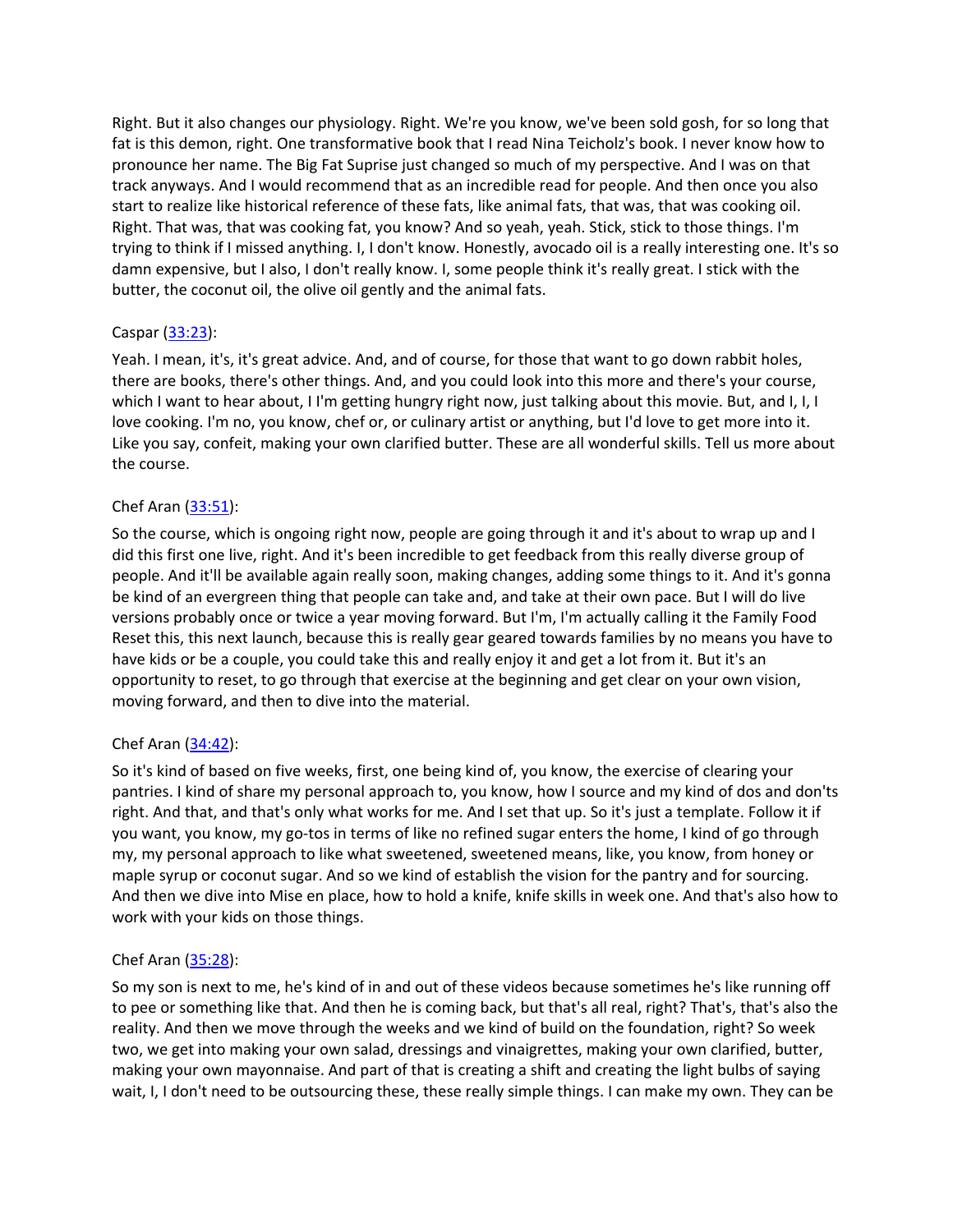Right. But it also changes our physiology. Right. We're you know, we've been sold gosh, for so long that fat is this demon, right. One transformative book that I read Nina Teicholz's book. I never know how to pronounce her name. The Big Fat Suprise just changed so much of my perspective. And I was on that track anyways. And I would recommend that as an incredible read for people. And then once you also start to realize like historical reference of these fats, like animal fats, that was, that was cooking oil. Right. That was, that was cooking fat, you know? And so yeah, yeah. Stick, stick to those things. I'm trying to think if I missed anything. I, I don't know. Honestly, avocado oil is a really interesting one. It's so damn expensive, but I also, I don't really know. I, some people think it's really great. I stick with the butter, the coconut oil, the olive oil gently and the animal fats.

## Caspar [\(33:23](https://www.temi.com/editor/t/C2OHmcaxYhkInUSNKS0Mu2rCE2dq0NKBGSdgnOPifiFQQ2yTnlRox7z0aJKFF5bGFu2LjOu5KCoBVTWWvUz4A9UOhec?loadFrom=DocumentDeeplink&ts=2003.49)):

Yeah. I mean, it's, it's great advice. And, and of course, for those that want to go down rabbit holes, there are books, there's other things. And, and you could look into this more and there's your course, which I want to hear about, I I'm getting hungry right now, just talking about this movie. But, and I, I, I love cooking. I'm no, you know, chef or, or culinary artist or anything, but I'd love to get more into it. Like you say, confeit, making your own clarified butter. These are all wonderful skills. Tell us more about the course.

## Chef Aran [\(33:51](https://www.temi.com/editor/t/C2OHmcaxYhkInUSNKS0Mu2rCE2dq0NKBGSdgnOPifiFQQ2yTnlRox7z0aJKFF5bGFu2LjOu5KCoBVTWWvUz4A9UOhec?loadFrom=DocumentDeeplink&ts=2031.24)):

So the course, which is ongoing right now, people are going through it and it's about to wrap up and I did this first one live, right. And it's been incredible to get feedback from this really diverse group of people. And it'll be available again really soon, making changes, adding some things to it. And it's gonna be kind of an evergreen thing that people can take and, and take at their own pace. But I will do live versions probably once or twice a year moving forward. But I'm, I'm actually calling it the Family Food Reset this, this next launch, because this is really gear geared towards families by no means you have to have kids or be a couple, you could take this and really enjoy it and get a lot from it. But it's an opportunity to reset, to go through that exercise at the beginning and get clear on your own vision, moving forward, and then to dive into the material.

# Chef Aran [\(34:42](https://www.temi.com/editor/t/C2OHmcaxYhkInUSNKS0Mu2rCE2dq0NKBGSdgnOPifiFQQ2yTnlRox7z0aJKFF5bGFu2LjOu5KCoBVTWWvUz4A9UOhec?loadFrom=DocumentDeeplink&ts=2082.85)):

So it's kind of based on five weeks, first, one being kind of, you know, the exercise of clearing your pantries. I kind of share my personal approach to, you know, how I source and my kind of dos and don'ts right. And that, and that's only what works for me. And I set that up. So it's just a template. Follow it if you want, you know, my go-tos in terms of like no refined sugar enters the home, I kind of go through my, my personal approach to like what sweetened, sweetened means, like, you know, from honey or maple syrup or coconut sugar. And so we kind of establish the vision for the pantry and for sourcing. And then we dive into Mise en place, how to hold a knife, knife skills in week one. And that's also how to work with your kids on those things.

# Chef Aran [\(35:28](https://www.temi.com/editor/t/C2OHmcaxYhkInUSNKS0Mu2rCE2dq0NKBGSdgnOPifiFQQ2yTnlRox7z0aJKFF5bGFu2LjOu5KCoBVTWWvUz4A9UOhec?loadFrom=DocumentDeeplink&ts=2128.45)):

So my son is next to me, he's kind of in and out of these videos because sometimes he's like running off to pee or something like that. And then he is coming back, but that's all real, right? That's, that's also the reality. And then we move through the weeks and we kind of build on the foundation, right? So week two, we get into making your own salad, dressings and vinaigrettes, making your own clarified, butter, making your own mayonnaise. And part of that is creating a shift and creating the light bulbs of saying wait, I, I don't need to be outsourcing these, these really simple things. I can make my own. They can be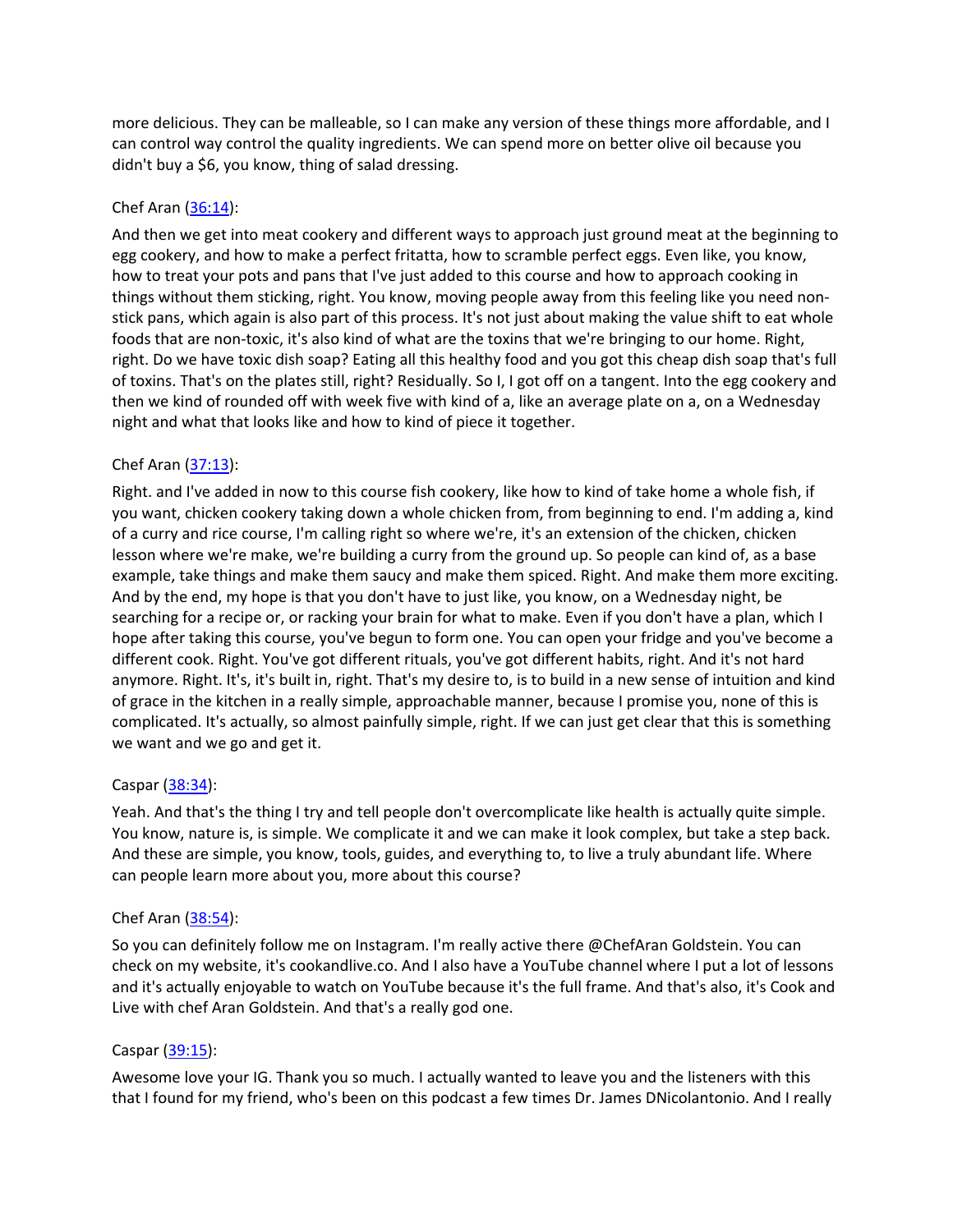more delicious. They can be malleable, so I can make any version of these things more affordable, and I can control way control the quality ingredients. We can spend more on better olive oil because you didn't buy a \$6, you know, thing of salad dressing.

## Chef Aran [\(36:14](https://www.temi.com/editor/t/C2OHmcaxYhkInUSNKS0Mu2rCE2dq0NKBGSdgnOPifiFQQ2yTnlRox7z0aJKFF5bGFu2LjOu5KCoBVTWWvUz4A9UOhec?loadFrom=DocumentDeeplink&ts=2174.93)):

And then we get into meat cookery and different ways to approach just ground meat at the beginning to egg cookery, and how to make a perfect fritatta, how to scramble perfect eggs. Even like, you know, how to treat your pots and pans that I've just added to this course and how to approach cooking in things without them sticking, right. You know, moving people away from this feeling like you need nonstick pans, which again is also part of this process. It's not just about making the value shift to eat whole foods that are non-toxic, it's also kind of what are the toxins that we're bringing to our home. Right, right. Do we have toxic dish soap? Eating all this healthy food and you got this cheap dish soap that's full of toxins. That's on the plates still, right? Residually. So I, I got off on a tangent. Into the egg cookery and then we kind of rounded off with week five with kind of a, like an average plate on a, on a Wednesday night and what that looks like and how to kind of piece it together.

## Chef Aran [\(37:13](https://www.temi.com/editor/t/C2OHmcaxYhkInUSNKS0Mu2rCE2dq0NKBGSdgnOPifiFQQ2yTnlRox7z0aJKFF5bGFu2LjOu5KCoBVTWWvUz4A9UOhec?loadFrom=DocumentDeeplink&ts=2233.45)):

Right. and I've added in now to this course fish cookery, like how to kind of take home a whole fish, if you want, chicken cookery taking down a whole chicken from, from beginning to end. I'm adding a, kind of a curry and rice course, I'm calling right so where we're, it's an extension of the chicken, chicken lesson where we're make, we're building a curry from the ground up. So people can kind of, as a base example, take things and make them saucy and make them spiced. Right. And make them more exciting. And by the end, my hope is that you don't have to just like, you know, on a Wednesday night, be searching for a recipe or, or racking your brain for what to make. Even if you don't have a plan, which I hope after taking this course, you've begun to form one. You can open your fridge and you've become a different cook. Right. You've got different rituals, you've got different habits, right. And it's not hard anymore. Right. It's, it's built in, right. That's my desire to, is to build in a new sense of intuition and kind of grace in the kitchen in a really simple, approachable manner, because I promise you, none of this is complicated. It's actually, so almost painfully simple, right. If we can just get clear that this is something we want and we go and get it.

## Caspar [\(38:34](https://www.temi.com/editor/t/C2OHmcaxYhkInUSNKS0Mu2rCE2dq0NKBGSdgnOPifiFQQ2yTnlRox7z0aJKFF5bGFu2LjOu5KCoBVTWWvUz4A9UOhec?loadFrom=DocumentDeeplink&ts=2314.8)):

Yeah. And that's the thing I try and tell people don't overcomplicate like health is actually quite simple. You know, nature is, is simple. We complicate it and we can make it look complex, but take a step back. And these are simple, you know, tools, guides, and everything to, to live a truly abundant life. Where can people learn more about you, more about this course?

## Chef Aran [\(38:54](https://www.temi.com/editor/t/C2OHmcaxYhkInUSNKS0Mu2rCE2dq0NKBGSdgnOPifiFQQ2yTnlRox7z0aJKFF5bGFu2LjOu5KCoBVTWWvUz4A9UOhec?loadFrom=DocumentDeeplink&ts=2334.18)):

So you can definitely follow me on Instagram. I'm really active there @ChefAran Goldstein. You can check on my website, it's cookandlive.co. And I also have a YouTube channel where I put a lot of lessons and it's actually enjoyable to watch on YouTube because it's the full frame. And that's also, it's Cook and Live with chef Aran Goldstein. And that's a really god one.

## Caspar [\(39:15](https://www.temi.com/editor/t/C2OHmcaxYhkInUSNKS0Mu2rCE2dq0NKBGSdgnOPifiFQQ2yTnlRox7z0aJKFF5bGFu2LjOu5KCoBVTWWvUz4A9UOhec?loadFrom=DocumentDeeplink&ts=2355.969)):

Awesome love your IG. Thank you so much. I actually wanted to leave you and the listeners with this that I found for my friend, who's been on this podcast a few times Dr. James DNicolantonio. And I really